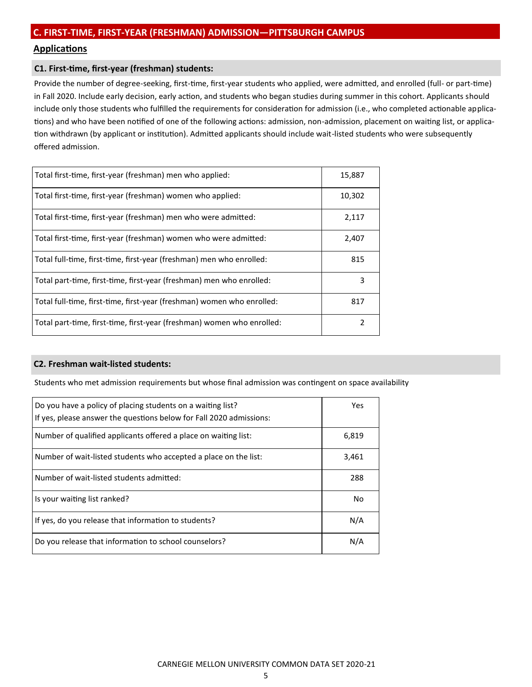## **Applications**

## **C1. First-time, first-year (freshman) students:**

Provide the number of degree-seeking, first-time, first-year students who applied, were admitted, and enrolled (full- or part-time) in Fall 2020. Include early decision, early action, and students who began studies during summer in this cohort. Applicants should include only those students who fulfilled the requirements for consideration for admission (i.e., who completed actionable applications) and who have been notified of one of the following actions: admission, non-admission, placement on waiting list, or application withdrawn (by applicant or institution). Admitted applicants should include wait-listed students who were subsequently offered admission.

| Total first-time, first-year (freshman) men who applied:               | 15,887 |
|------------------------------------------------------------------------|--------|
| Total first-time, first-year (freshman) women who applied:             | 10,302 |
| Total first-time, first-year (freshman) men who were admitted:         | 2,117  |
| Total first-time, first-year (freshman) women who were admitted:       | 2,407  |
| Total full-time, first-time, first-year (freshman) men who enrolled:   | 815    |
| Total part-time, first-time, first-year (freshman) men who enrolled:   | 3      |
| Total full-time, first-time, first-year (freshman) women who enrolled: | 817    |
| Total part-time, first-time, first-year (freshman) women who enrolled: | 2      |

## **C2. Freshman wait-listed students:**

Students who met admission requirements but whose final admission was contingent on space availability

| Do you have a policy of placing students on a waiting list?<br>If yes, please answer the questions below for Fall 2020 admissions: | Yes.  |
|------------------------------------------------------------------------------------------------------------------------------------|-------|
| Number of qualified applicants offered a place on waiting list:                                                                    | 6,819 |
| Number of wait-listed students who accepted a place on the list:                                                                   | 3,461 |
| Number of wait-listed students admitted:                                                                                           | 288   |
| Is your waiting list ranked?                                                                                                       | No    |
| If yes, do you release that information to students?                                                                               | N/A   |
| Do you release that information to school counselors?                                                                              | N/A   |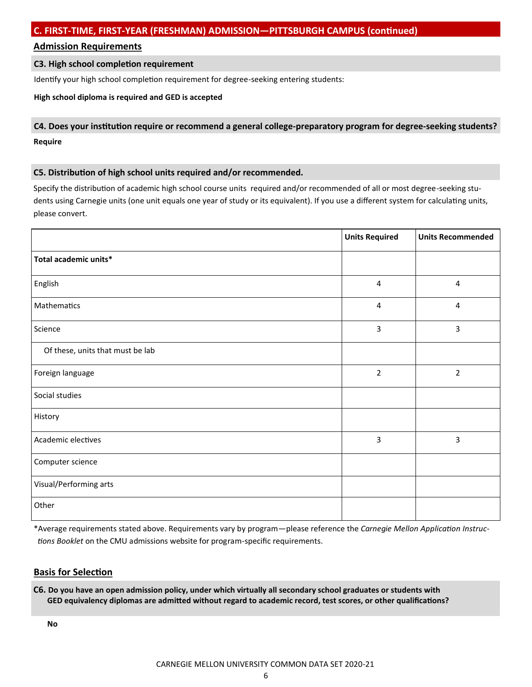## **Admission Requirements**

## **C3. High school completion requirement**

Identify your high school completion requirement for degree-seeking entering students:

## **High school diploma is required and GED is accepted**

# **C4. Does your institution require or recommend a general college-preparatory program for degree-seeking students? Require**

## **C5. Distribution of high school units required and/or recommended.**

Specify the distribution of academic high school course units required and/or recommended of all or most degree-seeking students using Carnegie units (one unit equals one year of study or its equivalent). If you use a different system for calculating units, please convert.

|                                  | <b>Units Required</b> | <b>Units Recommended</b> |
|----------------------------------|-----------------------|--------------------------|
| Total academic units*            |                       |                          |
| English                          | 4                     | 4                        |
| Mathematics                      | 4                     | 4                        |
| Science                          | 3                     | 3                        |
| Of these, units that must be lab |                       |                          |
| Foreign language                 | $\overline{2}$        | $\overline{2}$           |
| Social studies                   |                       |                          |
| History                          |                       |                          |
| Academic electives               | 3                     | 3                        |
| Computer science                 |                       |                          |
| Visual/Performing arts           |                       |                          |
| Other                            |                       |                          |

\*Average requirements stated above. Requirements vary by program—please reference the *Carnegie Mellon Application Instructions Booklet* on the CMU admissions website for program-specific requirements.

## **Basis for Selection**

**C6. Do you have an open admission policy, under which virtually all secondary school graduates or students with GED equivalency diplomas are admitted without regard to academic record, test scores, or other qualifications?**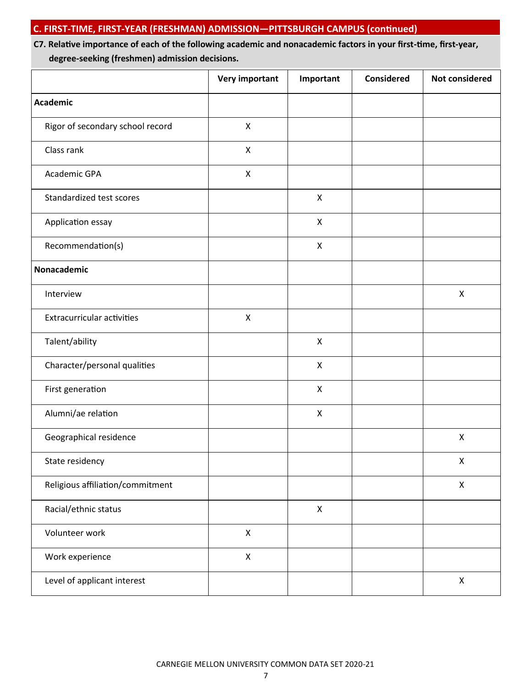# **C7. Relative importance of each of the following academic and nonacademic factors in your first-time, first-year, degree-seeking (freshmen) admission decisions.**

|                                   | <b>Very important</b>     | Important          | <b>Considered</b> | <b>Not considered</b> |
|-----------------------------------|---------------------------|--------------------|-------------------|-----------------------|
| <b>Academic</b>                   |                           |                    |                   |                       |
| Rigor of secondary school record  | $\pmb{\mathsf{X}}$        |                    |                   |                       |
| Class rank                        | $\boldsymbol{\mathsf{X}}$ |                    |                   |                       |
| Academic GPA                      | $\pmb{\times}$            |                    |                   |                       |
| Standardized test scores          |                           | X                  |                   |                       |
| Application essay                 |                           | $\mathsf{X}$       |                   |                       |
| Recommendation(s)                 |                           | $\pmb{\times}$     |                   |                       |
| Nonacademic                       |                           |                    |                   |                       |
| Interview                         |                           |                    |                   | $\mathsf{X}$          |
| <b>Extracurricular activities</b> | $\boldsymbol{\mathsf{X}}$ |                    |                   |                       |
| Talent/ability                    |                           | $\mathsf{X}$       |                   |                       |
| Character/personal qualities      |                           | $\pmb{\times}$     |                   |                       |
| First generation                  |                           | X                  |                   |                       |
| Alumni/ae relation                |                           | $\pmb{\times}$     |                   |                       |
| Geographical residence            |                           |                    |                   | $\pmb{\times}$        |
| State residency                   |                           |                    |                   | X                     |
| Religious affiliation/commitment  |                           |                    |                   | $\pmb{\times}$        |
| Racial/ethnic status              |                           | $\pmb{\mathsf{X}}$ |                   |                       |
| Volunteer work                    | $\pmb{\mathsf{X}}$        |                    |                   |                       |
| Work experience                   | $\pmb{\times}$            |                    |                   |                       |
| Level of applicant interest       |                           |                    |                   | $\pmb{\times}$        |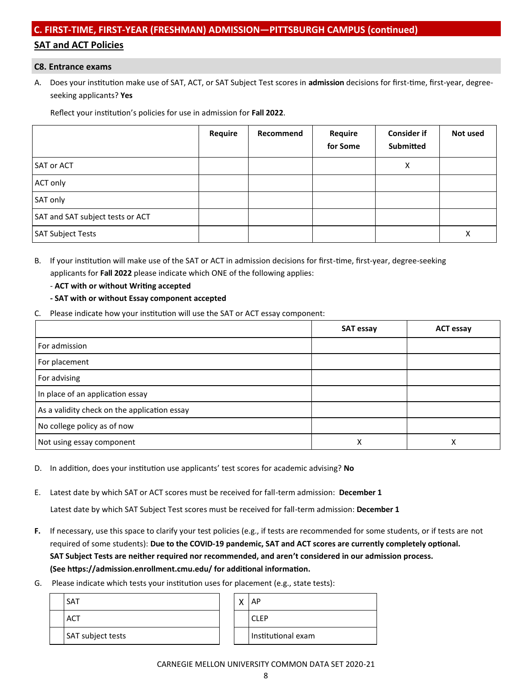# **C. FIRST-TIME, FIRST-YEAR (FRESHMAN) ADMISSION—PITTSBURGH CAMPUS (continued) SAT and ACT Policies**

#### **C8. Entrance exams**

A. Does your institution make use of SAT, ACT, or SAT Subject Test scores in **admission** decisions for first-time, first-year, degree seeking applicants? **Yes**

Reflect your institution's policies for use in admission for **Fall 2022**.

|                                  | Require | Recommend | Require<br>for Some | <b>Consider if</b><br>Submitted | Not used |
|----------------------------------|---------|-----------|---------------------|---------------------------------|----------|
| <b>SAT or ACT</b>                |         |           |                     | х                               |          |
| ACT only                         |         |           |                     |                                 |          |
| SAT only                         |         |           |                     |                                 |          |
| SAT and SAT subject tests or ACT |         |           |                     |                                 |          |
| <b>SAT Subject Tests</b>         |         |           |                     |                                 | Χ        |

- B. If your institution will make use of the SAT or ACT in admission decisions for first-time, first-year, degree-seeking applicants for **Fall 2022** please indicate which ONE of the following applies:
	- **ACT with or without Writing accepted**
	- **- SAT with or without Essay component accepted**
- C. Please indicate how your institution will use the SAT or ACT essay component:

|                                              | <b>SAT essay</b> | <b>ACT essay</b> |
|----------------------------------------------|------------------|------------------|
| For admission                                |                  |                  |
| For placement                                |                  |                  |
| For advising                                 |                  |                  |
| In place of an application essay             |                  |                  |
| As a validity check on the application essay |                  |                  |
| No college policy as of now                  |                  |                  |
| Not using essay component                    | Χ                | Λ                |

- D. In addition, does your institution use applicants' test scores for academic advising? **No**
- E. Latest date by which SAT or ACT scores must be received for fall-term admission: **December 1**

Latest date by which SAT Subject Test scores must be received for fall-term admission: **December 1**

- **F.** If necessary, use this space to clarify your test policies (e.g., if tests are recommended for some students, or if tests are not required of some students): **Due to the COVID-19 pandemic, SAT and ACT scores are currently completely optional. SAT Subject Tests are neither required nor recommended, and aren't considered in our admission process. (See https://admission.enrollment.cmu.edu/ for additional information.**
- G. Please indicate which tests your institution uses for placement (e.g., state tests):

| <b>SAT</b>        | $\cdots$ | AP                 |
|-------------------|----------|--------------------|
| <b>ACT</b>        |          | <b>CLEP</b>        |
| SAT subject tests |          | Institutional exam |

#### CARNEGIE MELLON UNIVERSITY COMMON DATA SET 2020-21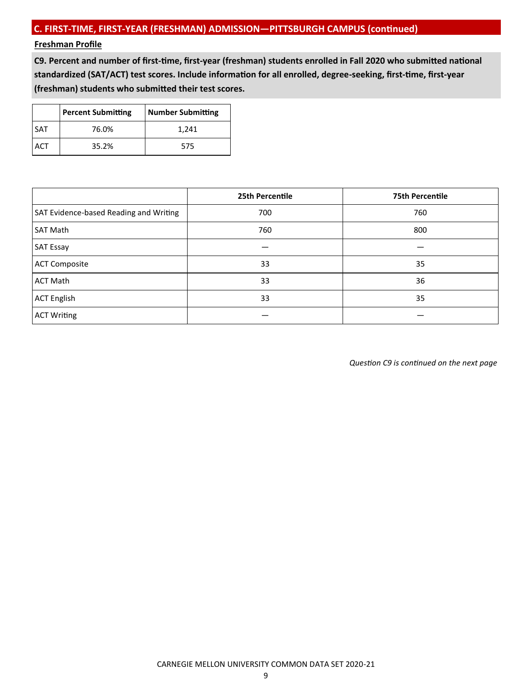## **Freshman Profile**

**C9. Percent and number of first-time, first-year (freshman) students enrolled in Fall 2020 who submitted national standardized (SAT/ACT) test scores. Include information for all enrolled, degree-seeking, first-time, first-year (freshman) students who submitted their test scores.**

|            | <b>Percent Submitting</b> | Number Submitting |
|------------|---------------------------|-------------------|
| <b>SAT</b> | 76.0%                     | 1,241             |
|            | 35.2%                     | 575               |

|                                        | 25th Percentile | <b>75th Percentile</b> |
|----------------------------------------|-----------------|------------------------|
| SAT Evidence-based Reading and Writing | 700             | 760                    |
| <b>SAT Math</b>                        | 760             | 800                    |
| <b>SAT Essay</b>                       |                 |                        |
| <b>ACT Composite</b>                   | 33              | 35                     |
| <b>ACT Math</b>                        | 33              | 36                     |
| <b>ACT English</b>                     | 33              | 35                     |
| <b>ACT Writing</b>                     |                 |                        |

*Question C9 is continued on the next page*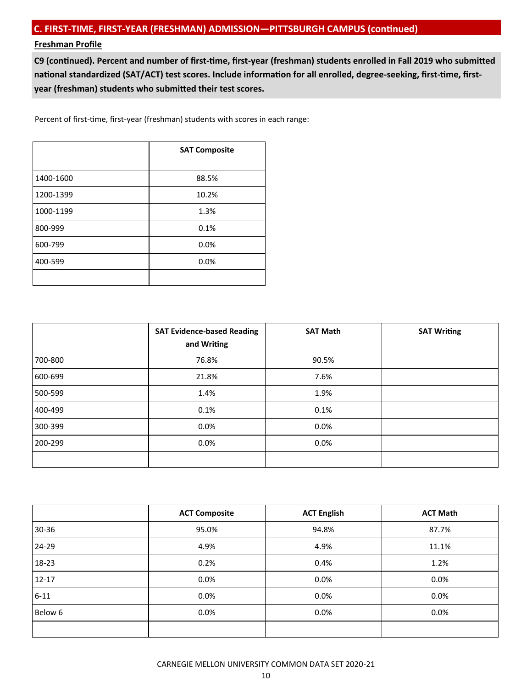## **Freshman Profile**

**C9 (continued). Percent and number of first-time, first-year (freshman) students enrolled in Fall 2019 who submitted national standardized (SAT/ACT) test scores. Include information for all enrolled, degree-seeking, first-time, firstyear (freshman) students who submitted their test scores.**

Percent of first-time, first-year (freshman) students with scores in each range:

|           | <b>SAT Composite</b> |  |
|-----------|----------------------|--|
| 1400-1600 | 88.5%                |  |
| 1200-1399 | 10.2%                |  |
| 1000-1199 | 1.3%                 |  |
| 800-999   | 0.1%                 |  |
| 600-799   | 0.0%                 |  |
| 400-599   | 0.0%                 |  |
|           |                      |  |

|         | <b>SAT Evidence-based Reading</b><br>and Writing | <b>SAT Math</b> | <b>SAT Writing</b> |
|---------|--------------------------------------------------|-----------------|--------------------|
| 700-800 | 76.8%                                            | 90.5%           |                    |
| 600-699 | 21.8%                                            | 7.6%            |                    |
| 500-599 | 1.4%                                             | 1.9%            |                    |
| 400-499 | 0.1%                                             | 0.1%            |                    |
| 300-399 | 0.0%                                             | $0.0\%$         |                    |
| 200-299 | 0.0%                                             | 0.0%            |                    |
|         |                                                  |                 |                    |

|           | <b>ACT Composite</b> | <b>ACT English</b> | <b>ACT Math</b> |
|-----------|----------------------|--------------------|-----------------|
| 30-36     | 95.0%                | 94.8%              | 87.7%           |
| 24-29     | 4.9%                 | 4.9%               | 11.1%           |
| 18-23     | 0.2%                 | 0.4%               | 1.2%            |
| $12 - 17$ | 0.0%                 | 0.0%               | 0.0%            |
| $6 - 11$  | 0.0%                 | 0.0%               | 0.0%            |
| Below 6   | 0.0%                 | 0.0%               | 0.0%            |
|           |                      |                    |                 |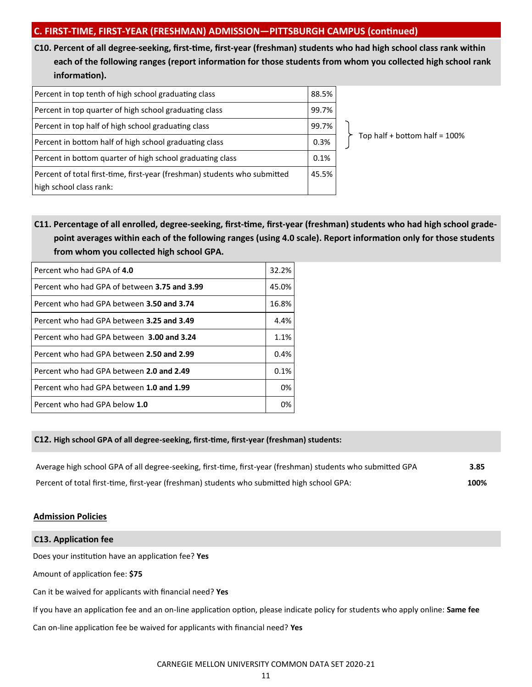**C10. Percent of all degree-seeking, first-time, first-year (freshman) students who had high school class rank within each of the following ranges (report information for those students from whom you collected high school rank information).**

| Percent in top tenth of high school graduating class                                                 | 88.5% |
|------------------------------------------------------------------------------------------------------|-------|
| Percent in top quarter of high school graduating class                                               | 99.7% |
| Percent in top half of high school graduating class                                                  | 99.7% |
| Percent in bottom half of high school graduating class                                               | 0.3%  |
| Percent in bottom quarter of high school graduating class                                            | 0.1%  |
| Percent of total first-time, first-year (freshman) students who submitted<br>high school class rank: | 45.5% |

Top half + bottom half =  $100\%$ 

**C11. Percentage of all enrolled, degree-seeking, first-time, first-year (freshman) students who had high school grade point averages within each of the following ranges (using 4.0 scale). Report information only for those students from whom you collected high school GPA.**

| Percent who had GPA of 4.0                   | 32.2% |
|----------------------------------------------|-------|
| Percent who had GPA of between 3.75 and 3.99 | 45.0% |
| Percent who had GPA between 3.50 and 3.74    | 16.8% |
| Percent who had GPA between 3.25 and 3.49    | 4.4%  |
| Percent who had GPA between 3.00 and 3.24    | 1.1%  |
| Percent who had GPA between 2.50 and 2.99    | 0.4%  |
| Percent who had GPA between 2.0 and 2.49     | 0.1%  |
| Percent who had GPA between 1.0 and 1.99     | 0%    |
| Percent who had GPA below 1.0                | 0%    |

## **C12. High school GPA of all degree-seeking, first-time, first-year (freshman) students:**

| Average high school GPA of all degree-seeking, first-time, first-year (freshman) students who submitted GPA | 3.85 |
|-------------------------------------------------------------------------------------------------------------|------|
| Percent of total first-time, first-year (freshman) students who submitted high school GPA:                  | 100% |

## **Admission Policies**

# **C13. Application fee** Does your institution have an application fee? **Yes** Amount of application fee: **\$75** Can it be waived for applicants with financial need? **Yes** If you have an application fee and an on-line application option, please indicate policy for students who apply online: **Same fee** Can on-line application fee be waived for applicants with financial need? **Yes**

CARNEGIE MELLON UNIVERSITY COMMON DATA SET 2020-21